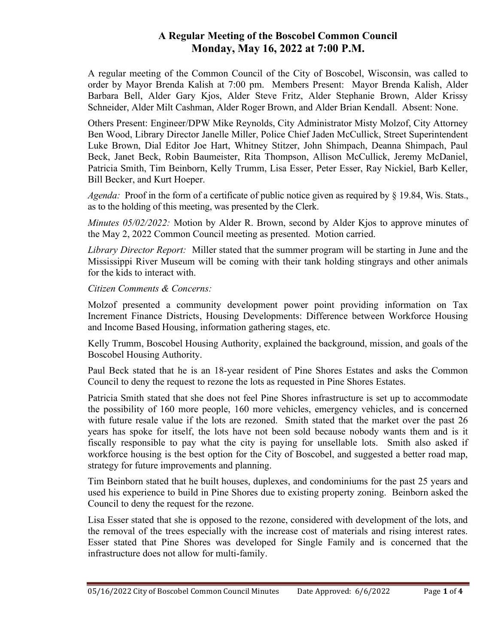## A Regular Meeting of the Boscobel Common Council Monday, May 16, 2022 at 7:00 P.M.

A regular meeting of the Common Council of the City of Boscobel, Wisconsin, was called to order by Mayor Brenda Kalish at 7:00 pm. Members Present: Mayor Brenda Kalish, Alder Barbara Bell, Alder Gary Kjos, Alder Steve Fritz, Alder Stephanie Brown, Alder Krissy Schneider, Alder Milt Cashman, Alder Roger Brown, and Alder Brian Kendall. Absent: None.

Others Present: Engineer/DPW Mike Reynolds, City Administrator Misty Molzof, City Attorney Ben Wood, Library Director Janelle Miller, Police Chief Jaden McCullick, Street Superintendent Luke Brown, Dial Editor Joe Hart, Whitney Stitzer, John Shimpach, Deanna Shimpach, Paul Beck, Janet Beck, Robin Baumeister, Rita Thompson, Allison McCullick, Jeremy McDaniel, Patricia Smith, Tim Beinborn, Kelly Trumm, Lisa Esser, Peter Esser, Ray Nickiel, Barb Keller, Bill Becker, and Kurt Hoeper.

*Agenda*: Proof in the form of a certificate of public notice given as required by  $\S$  19.84, Wis. Stats., as to the holding of this meeting, was presented by the Clerk.

*Minutes*  $0.05/02/2022$ *:* Motion by Alder R. Brown, second by Alder Kjos to approve minutes of the May 2, 2022 Common Council meeting as presented. Motion carried.

Library Director Report: Miller stated that the summer program will be starting in June and the Mississippi River Museum will be coming with their tank holding stingrays and other animals for the kids to interact with.

## Citizen Comments & Concerns:

Molzof presented a community development power point providing information on Tax Increment Finance Districts, Housing Developments: Difference between Workforce Housing and Income Based Housing, information gathering stages, etc.

Kelly Trumm, Boscobel Housing Authority, explained the background, mission, and goals of the Boscobel Housing Authority.

Paul Beck stated that he is an 18-year resident of Pine Shores Estates and asks the Common Council to deny the request to rezone the lots as requested in Pine Shores Estates.

Patricia Smith stated that she does not feel Pine Shores infrastructure is set up to accommodate the possibility of 160 more people, 160 more vehicles, emergency vehicles, and is concerned with future resale value if the lots are rezoned. Smith stated that the market over the past 26 years has spoke for itself, the lots have not been sold because nobody wants them and is it fiscally responsible to pay what the city is paying for unsellable lots. Smith also asked if workforce housing is the best option for the City of Boscobel, and suggested a better road map, strategy for future improvements and planning.

Tim Beinborn stated that he built houses, duplexes, and condominiums for the past 25 years and used his experience to build in Pine Shores due to existing property zoning. Beinborn asked the Council to deny the request for the rezone.

Lisa Esser stated that she is opposed to the rezone, considered with development of the lots, and the removal of the trees especially with the increase cost of materials and rising interest rates. Esser stated that Pine Shores was developed for Single Family and is concerned that the infrastructure does not allow for multi-family.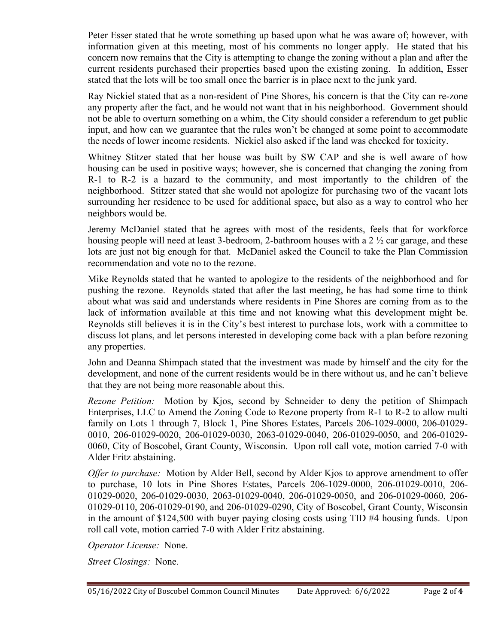Peter Esser stated that he wrote something up based upon what he was aware of; however, with information given at this meeting, most of his comments no longer apply. He stated that his concern now remains that the City is attempting to change the zoning without a plan and after the current residents purchased their properties based upon the existing zoning. In addition, Esser stated that the lots will be too small once the barrier is in place next to the junk yard.

Ray Nickiel stated that as a non-resident of Pine Shores, his concern is that the City can re-zone any property after the fact, and he would not want that in his neighborhood. Government should not be able to overturn something on a whim, the City should consider a referendum to get public input, and how can we guarantee that the rules won't be changed at some point to accommodate the needs of lower income residents. Nickiel also asked if the land was checked for toxicity.

Whitney Stitzer stated that her house was built by SW CAP and she is well aware of how housing can be used in positive ways; however, she is concerned that changing the zoning from R-1 to R-2 is a hazard to the community, and most importantly to the children of the neighborhood. Stitzer stated that she would not apologize for purchasing two of the vacant lots surrounding her residence to be used for additional space, but also as a way to control who her neighbors would be.

Jeremy McDaniel stated that he agrees with most of the residents, feels that for workforce housing people will need at least 3-bedroom, 2-bathroom houses with a 2 ½ car garage, and these lots are just not big enough for that. McDaniel asked the Council to take the Plan Commission recommendation and vote no to the rezone.

Mike Reynolds stated that he wanted to apologize to the residents of the neighborhood and for pushing the rezone. Reynolds stated that after the last meeting, he has had some time to think about what was said and understands where residents in Pine Shores are coming from as to the lack of information available at this time and not knowing what this development might be. Reynolds still believes it is in the City's best interest to purchase lots, work with a committee to discuss lot plans, and let persons interested in developing come back with a plan before rezoning any properties.

John and Deanna Shimpach stated that the investment was made by himself and the city for the development, and none of the current residents would be in there without us, and he can't believe that they are not being more reasonable about this.

Rezone Petition: Motion by Kjos, second by Schneider to deny the petition of Shimpach Enterprises, LLC to Amend the Zoning Code to Rezone property from R-1 to R-2 to allow multi family on Lots 1 through 7, Block 1, Pine Shores Estates, Parcels 206-1029-0000, 206-01029- 0010, 206-01029-0020, 206-01029-0030, 2063-01029-0040, 206-01029-0050, and 206-01029- 0060, City of Boscobel, Grant County, Wisconsin. Upon roll call vote, motion carried 7-0 with Alder Fritz abstaining.

Offer to purchase: Motion by Alder Bell, second by Alder Kjos to approve amendment to offer to purchase, 10 lots in Pine Shores Estates, Parcels 206-1029-0000, 206-01029-0010, 206- 01029-0020, 206-01029-0030, 2063-01029-0040, 206-01029-0050, and 206-01029-0060, 206- 01029-0110, 206-01029-0190, and 206-01029-0290, City of Boscobel, Grant County, Wisconsin in the amount of \$124,500 with buyer paying closing costs using TID #4 housing funds. Upon roll call vote, motion carried 7-0 with Alder Fritz abstaining.

Operator License: None.

Street Closings: None.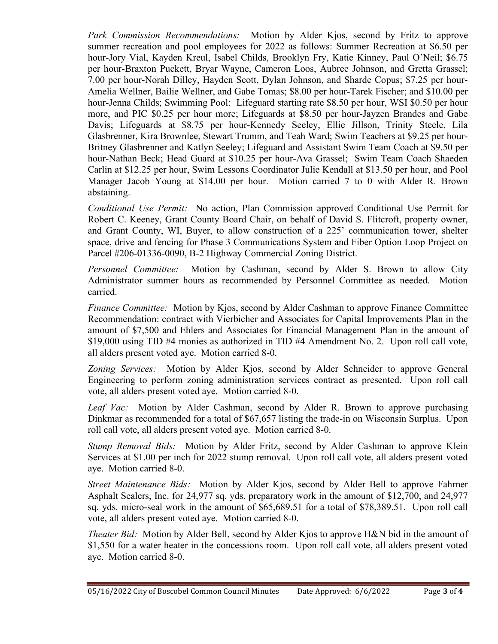Park Commission Recommendations: Motion by Alder Kjos, second by Fritz to approve summer recreation and pool employees for 2022 as follows: Summer Recreation at \$6.50 per hour-Jory Vial, Kayden Kreul, Isabel Childs, Brooklyn Fry, Katie Kinney, Paul O'Neil; \$6.75 per hour-Braxton Puckett, Bryar Wayne, Cameron Loos, Aubree Johnson, and Gretta Grassel; 7.00 per hour-Norah Dilley, Hayden Scott, Dylan Johnson, and Sharde Copus; \$7.25 per hour-Amelia Wellner, Bailie Wellner, and Gabe Tomas; \$8.00 per hour-Tarek Fischer; and \$10.00 per hour-Jenna Childs; Swimming Pool: Lifeguard starting rate \$8.50 per hour, WSI \$0.50 per hour more, and PIC \$0.25 per hour more; Lifeguards at \$8.50 per hour-Jayzen Brandes and Gabe Davis; Lifeguards at \$8.75 per hour-Kennedy Seeley, Ellie Jillson, Trinity Steele, Lila Glasbrenner, Kira Brownlee, Stewart Trumm, and Teah Ward; Swim Teachers at \$9.25 per hour-Britney Glasbrenner and Katlyn Seeley; Lifeguard and Assistant Swim Team Coach at \$9.50 per hour-Nathan Beck; Head Guard at \$10.25 per hour-Ava Grassel; Swim Team Coach Shaeden Carlin at \$12.25 per hour, Swim Lessons Coordinator Julie Kendall at \$13.50 per hour, and Pool Manager Jacob Young at \$14.00 per hour. Motion carried 7 to 0 with Alder R. Brown abstaining.

Conditional Use Permit: No action, Plan Commission approved Conditional Use Permit for Robert C. Keeney, Grant County Board Chair, on behalf of David S. Flitcroft, property owner, and Grant County, WI, Buyer, to allow construction of a 225' communication tower, shelter space, drive and fencing for Phase 3 Communications System and Fiber Option Loop Project on Parcel #206-01336-0090, B-2 Highway Commercial Zoning District.

Personnel Committee: Motion by Cashman, second by Alder S. Brown to allow City Administrator summer hours as recommended by Personnel Committee as needed. Motion carried.

Finance Committee: Motion by Kjos, second by Alder Cashman to approve Finance Committee Recommendation: contract with Vierbicher and Associates for Capital Improvements Plan in the amount of \$7,500 and Ehlers and Associates for Financial Management Plan in the amount of \$19,000 using TID #4 monies as authorized in TID #4 Amendment No. 2. Upon roll call vote, all alders present voted aye. Motion carried 8-0.

Zoning Services: Motion by Alder Kjos, second by Alder Schneider to approve General Engineering to perform zoning administration services contract as presented. Upon roll call vote, all alders present voted aye. Motion carried 8-0.

Leaf Vac: Motion by Alder Cashman, second by Alder R. Brown to approve purchasing Dinkmar as recommended for a total of \$67,657 listing the trade-in on Wisconsin Surplus. Upon roll call vote, all alders present voted aye. Motion carried 8-0.

Stump Removal Bids: Motion by Alder Fritz, second by Alder Cashman to approve Klein Services at \$1.00 per inch for 2022 stump removal. Upon roll call vote, all alders present voted aye. Motion carried 8-0.

Street Maintenance Bids: Motion by Alder Kjos, second by Alder Bell to approve Fahrner Asphalt Sealers, Inc. for 24,977 sq. yds. preparatory work in the amount of \$12,700, and 24,977 sq. yds. micro-seal work in the amount of \$65,689.51 for a total of \$78,389.51. Upon roll call vote, all alders present voted aye. Motion carried 8-0.

Theater Bid: Motion by Alder Bell, second by Alder Kjos to approve H&N bid in the amount of \$1,550 for a water heater in the concessions room. Upon roll call vote, all alders present voted aye. Motion carried 8-0.